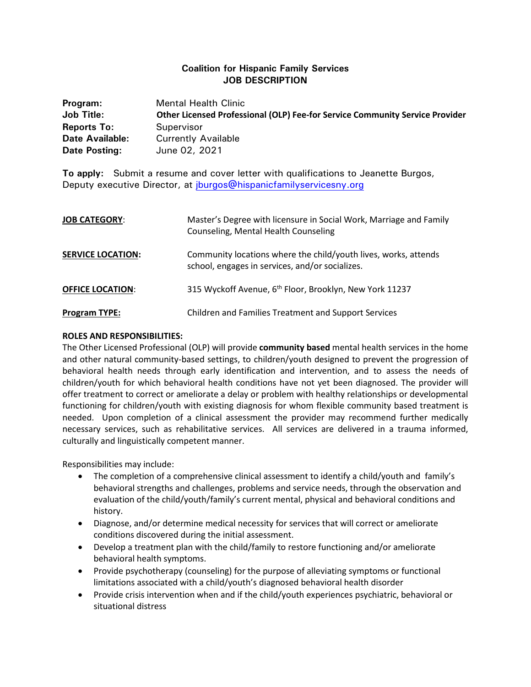## **Coalition for Hispanic Family Services JOB DESCRIPTION**

| Program:           | <b>Mental Health Clinic</b>                                                  |
|--------------------|------------------------------------------------------------------------------|
| <b>Job Title:</b>  | Other Licensed Professional (OLP) Fee-for Service Community Service Provider |
| <b>Reports To:</b> | Supervisor                                                                   |
| Date Available:    | <b>Currently Available</b>                                                   |
| Date Posting:      | June 02, 2021                                                                |

**To apply:** Submit a resume and cover letter with qualifications to Jeanette Burgos, Deputy executive Director, at *iburgos@hispanicfamilyservicesny.org* 

| <b>JOB CATEGORY:</b>     | Master's Degree with licensure in Social Work, Marriage and Family<br>Counseling, Mental Health Counseling         |
|--------------------------|--------------------------------------------------------------------------------------------------------------------|
| <b>SERVICE LOCATION:</b> | Community locations where the child/youth lives, works, attends<br>school, engages in services, and/or socializes. |
| <b>OFFICE LOCATION:</b>  | 315 Wyckoff Avenue, 6 <sup>th</sup> Floor, Brooklyn, New York 11237                                                |
| <b>Program TYPE:</b>     | <b>Children and Families Treatment and Support Services</b>                                                        |

## **ROLES AND RESPONSIBILITIES:**

The Other Licensed Professional (OLP) will provide **community based** mental health services in the home and other natural community-based settings, to children/youth designed to prevent the progression of behavioral health needs through early identification and intervention, and to assess the needs of children/youth for which behavioral health conditions have not yet been diagnosed. The provider will offer treatment to correct or ameliorate a delay or problem with healthy relationships or developmental functioning for children/youth with existing diagnosis for whom flexible community based treatment is needed. Upon completion of a clinical assessment the provider may recommend further medically necessary services, such as rehabilitative services. All services are delivered in a trauma informed, culturally and linguistically competent manner.

Responsibilities may include:

- The completion of a comprehensive clinical assessment to identify a child/youth and family's behavioral strengths and challenges, problems and service needs, through the observation and evaluation of the child/youth/family's current mental, physical and behavioral conditions and history.
- Diagnose, and/or determine medical necessity for services that will correct or ameliorate conditions discovered during the initial assessment.
- Develop a treatment plan with the child/family to restore functioning and/or ameliorate behavioral health symptoms.
- Provide psychotherapy (counseling) for the purpose of alleviating symptoms or functional limitations associated with a child/youth's diagnosed behavioral health disorder
- Provide crisis intervention when and if the child/youth experiences psychiatric, behavioral or situational distress